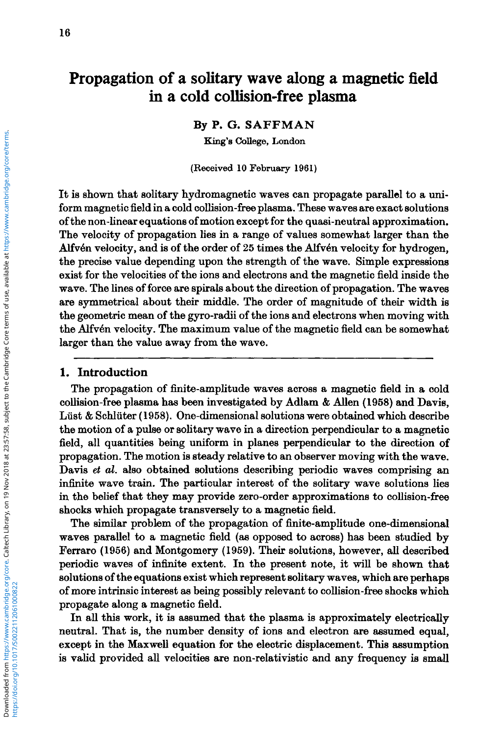# **Propagation of a solitary wave along a magnetic field in a cold collision-free plasma**

**By P.** *G.* **SAFFMAN** 

**King's College, London** 

**(Received 10 February 1961)** 

It is shown that solitary hydromagnetic waves can propagate parallel to a uniform magnetic field in a cold collision-free plasma. These waves are exact solutions of the non-linear equations of motion except for the quasi-neutral approximation. The velocity of propagation lies in a range of values somewhat larger than the Alfvén velocity, and is of the order of 25 times the Alfvén velocity for hydrogen, the precise value depending upon the strength of the wave. Simple expressions exist for the velocities of the ions and electrons and the magnetic field inside the wave. The lines of force are spirals about the direction of propagation. The waves are symmetrical about their middle. The order of magnitude of their width is the geometric mean of the gyro-radii of the ions and electrons when moving with the Alfvén velocity. The maximum value of the magnetic field can be somewhat larger than the value away from the wave.

## **1. Introduction**

The propagation of finite-amplitude waves across a magnetic field in a cold collision-free plasma has been investigated by Adlam & AUen **(1958)** and Davis, Lüst & Schlüter (1958). One-dimensional solutions were obtained which describe the motion of a pulse or solitary wave in a direction perpendicular to a magnetio field, all quantities being uniform in planes perpendicular to the direction **of**  propagation. The motion is steady relative to an observer moving with the wave. Davis **et** *al.* also obtained solutions describing periodic waves comprising an infinite wave train. The particular interest of the solitary wave solutions lies in the belief that they may provide zero-order approximations to collision-free shocks which propagate transversely to a magnetic field.

The similar problem of the propagation of finite-amplitude one-dimensional waves parallel to a magnetic field **(as** opposed to across) has been studied by Ferraro **(1966)** and Montgomery **(1969).** Their solutions, however, all described periodic waves of infinite extent. In the present note, it will be shown that solutions of the equations exist which represent solitary waves, which are perhaps of more intrinsic interest **as** being possibly relevant to collision-free shocks which propagate along a magnetic field.

In all this work, it is assumed that the plasma is approximately electrically neutral. That is, the number density of ions and electron are assumed equal, except in the Maxwell equation for the electric displacement. **This** assumption is valid provided all velocities are non-relativistic and any frequency is small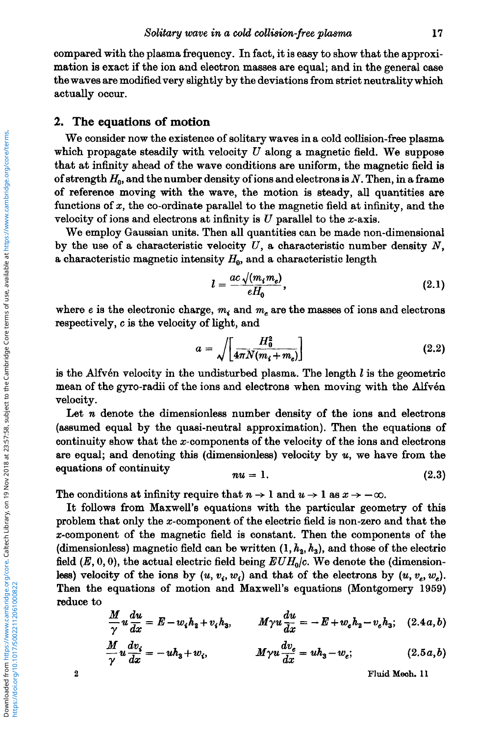compared with the plasma frequency. In fact, it is easy to show that the approximation is exact if the ion and electron maases are equal; and in the general case the waves are modified very slightly by the deviations from strict neutrality which actually occur.

# **2. The equations of motion**

We consider now the existence of solitary waves in a cold collision-free plasma which propagate steadily with velocity *U* along a magnetic field. We suppose that at infinity ahead of the wave conditions are uniform, the magnetic field is of strength *H,,* and the number density of ions and electrons is N. Then, in **a fiame**  of reference moving with the wave, the motion is steady, all quantities are functions of *x,* the co-ordinate parallel to the magnetic field at infinity, and the velocity of ions and electrons at infinity is  $U$  parallel to the  $x$ -axis.

We employ Gaussian units. Then all quantities can be made non-dimensional by the use of a characteristic velocity  $U$ , a characteristic number density  $N$ , a characteristic magnetic intensity  $H_0$ , and a characteristic length

$$
l = \frac{ac\sqrt{(m_i m_e)}}{eH_0},\tag{2.1}
$$

where  $e$  is the electronic charge,  $m_i$  and  $m_e$  are the masses of ions and electrons respectively, *c* is the velocity of light, and

$$
a = \sqrt{\left[\frac{H_0^2}{4\pi N(m_i + m_e)}\right]}
$$
 (2.2)

is the Alfvén velocity in the undisturbed plasma. The length *l* is the geometric mean of the gyro-radii of the ions and electrons when moving with the Alfvén velocity.

Let *n* denote the dimensionless number density of the ions and electrons (assumed equal by the quasi-neutral approximation). Then the equations of continuity show that the x-components of the velocity of the ions and electrons are equal; and denoting this (dimensionless) velocity by *u,* we have from the  $equations of continuity$ 

$$
nu = 1. \tag{2.3}
$$

The conditions at infinity require that  $n \to 1$  and  $u \to 1$  as  $x \to -\infty$ .

It follows from Maxwell's equations with the particular geometry of this problem that only the x-component of the electric field is non-zero and that the z-component of the magnetic field is constant. Then the components of the (dimensionless) magnetic field can be written  $(1, h<sub>2</sub>, h<sub>3</sub>)$ , and those of the electric field  $(E, 0, 0)$ , the actual electric field being  $EUH_0/c$ . We denote the (dimensionless) velocity of the ions by  $(u, v_i, w_i)$  and that of the electrons by  $(u, v_e, w_e)$ . Then the equations of motion and Maxwell's equations (Montgomery 1969) reduce to

$$
\frac{M}{\gamma}u\frac{du}{dx}=E-w_ih_2+v_ih_3,\qquad M\gamma u\frac{du}{dx}=-E+w_eh_2-v_eh_3;\quad(2.4a,b)
$$

$$
\frac{M}{\gamma}u\frac{dv_i}{dx} = -uh_3 + w_i, \qquad M\gamma u\frac{dv_e}{dx} = uh_3 - w_e; \qquad (2.5a,b)
$$

**2 Fluid Meoh. 11**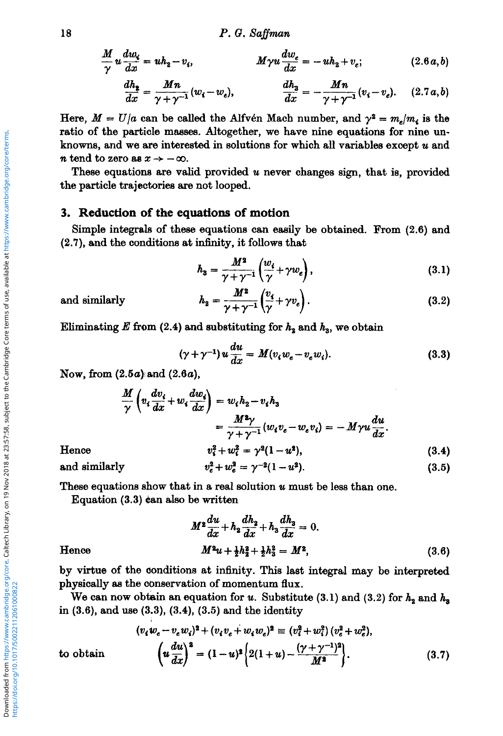$$
\frac{M}{\gamma}u\frac{dw_i}{dx} = uh_2 - v_i, \qquad \qquad Myu\frac{dw_e}{dx} = -uh_2 + v_e; \qquad (2.6a, b)
$$

$$
\frac{dh_{\sharp}}{dx} = \frac{Mn}{\gamma + \gamma^{-1}} (w_{\sharp} - w_{e}), \qquad \qquad \frac{dh_{3}}{dx} = -\frac{Mn}{\gamma + \gamma^{-1}} (v_{\sharp} - v_{e}). \qquad (2.7a,b)
$$

Here,  $M = U/a$  can be called the Alfvén Mach number, and  $\gamma^2 = m_e/m_e$  is the ratio of the particle masses. Altogether, we have nine equations for nine unknowns, and we are interested in solutions for which all variables except  $u$  and *n* tend to zero as  $x \rightarrow -\infty$ .

These equations are valid provided u never changes sign, that is, provided the particle trajectories are not looped.

# 3. Reduction of the equations of motion

Simple integrals of these equations can easily be obtained. From (2.6) and (2.7), and the conditions at infinity, it follows that

$$
h_3 = \frac{M^3}{\gamma + \gamma^{-1}} \left( \frac{w_i}{\gamma} + \gamma w_e \right), \tag{3.1}
$$

and similarly

$$
h_2 = \frac{M^2}{\gamma + \gamma^{-1}} \left( \frac{v_4}{\gamma} + \gamma v_e \right). \tag{3.2}
$$

Eliminating E from (2.4) and substituting for  $h_2$  and  $h_3$ , we obtain

$$
(\gamma + \gamma^{-1}) u \frac{du}{dx} = M(v_i w_e - v_e w_i). \tag{3.3}
$$

Now, from  $(2.5a)$  and  $(2.6a)$ ,

$$
\frac{M}{\gamma} \left( v_t \frac{dv_i}{dx} + w_t \frac{dv_i}{dx} \right) = w_t h_2 - v_t h_3
$$
\n
$$
= \frac{M^2 \gamma}{\gamma + \gamma^{-1}} (w_t v_e - w_e v_i) = -M \gamma u \frac{du}{dx}.
$$
\n
$$
v_t^2 + w_t^2 = \gamma^2 (1 - u^2), \tag{3.4}
$$

Hence

and similarly

$$
v_e^2 + w_e^2 = \gamma^{-2} (1 - u^2). \tag{3.5}
$$

These equations show that in a real solution u must be less than one.

Equation (3.3) can also be written

$$
M^2 \frac{du}{dx} + h_2 \frac{dh_2}{dx} + h_3 \frac{dh_3}{dx} = 0.
$$
  

$$
M^2 u + \frac{1}{2} h_2^2 + \frac{1}{2} h_3^2 = M^2,
$$
 (3.6)

#### Hence

by virtue of the conditions at infinity. This last integral may be interpreted physically as the conservation of momentum flux.

We can now obtain an equation for u. Substitute (3.1) and (3.2) for  $h_2$  and  $h_3$ in  $(3.6)$ , and use  $(3.3)$ ,  $(3.4)$ ,  $(3.5)$  and the identity

$$
(v_i w_e - v_e w_i)^2 + (v_i v_e + w_i w_e)^2 \equiv (v_i^2 + w_i^2)(v_e^2 + w_e^2),
$$
  

$$
\left(u \frac{du}{dx}\right)^2 = (1 - u)^2 \left(2(1 + u) - \frac{(\gamma + \gamma^{-1})^2}{M^2}\right).
$$
 (3.7)

to obtain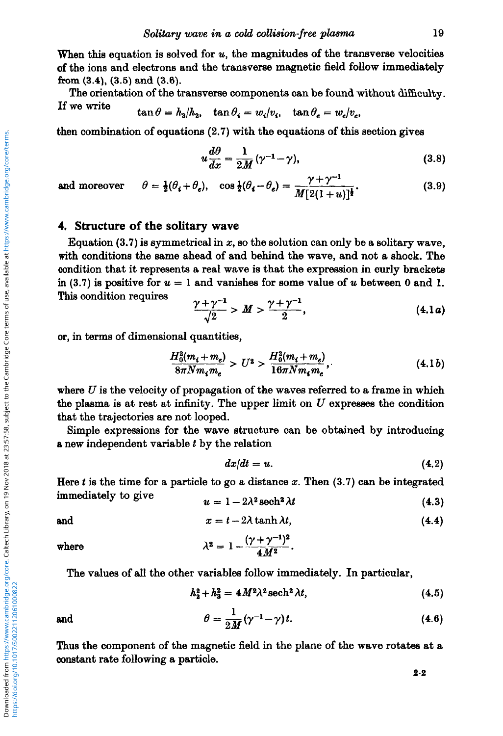When this equation is solved for  $u$ , the magnitudes of the transverse velocities of the ions and electrons and the transverse magnetic field follow immediately **from**  $(3.4)$ ,  $(3.5)$  and  $(3.6)$ .

The orientation of the transverse components can be found without difficulty.<br>If we write

$$
\tan \theta = h_3/h_2, \quad \tan \theta_i = w_i/v_i, \quad \tan \theta_e = w_e/v_e,
$$

then combination of equations (2.7) with the equations of this section gives

s (2.7) with the equations of this section gives  
\n
$$
u \frac{d\theta}{dx} = \frac{1}{2M} (\gamma^{-1} - \gamma),
$$
\n(3.8)

$$
u\frac{d\omega}{dx} = \frac{1}{2M}(\gamma^{-1} - \gamma), \qquad (3.8)
$$
  
and moreover  $\theta = \frac{1}{2}(\theta_i + \theta_e), \quad \cos\frac{1}{2}(\theta_i - \theta_e) = \frac{\gamma + \gamma^{-1}}{M[2(1+u)]^{\frac{1}{2}}}.$  (3.9)

## **4. Structure of the solitary wave**

Equation  $(3.7)$  is symmetrical in x, so the solution can only be a solitary wave, with conditions the same ahead of and behind the wave, and not a shock. The oondition that it represents a real wave is that the expression in curly brackets in (3.7) is positive for  $u = 1$  and vanishes for some value of  $u$  between 0 and 1. **This condition requires** 

$$
\frac{\gamma + \gamma^{-1}}{\sqrt{2}} > M > \frac{\gamma + \gamma^{-1}}{2}, \tag{4.1a}
$$

or, in terms of dimensional quantities,

$$
\frac{H_0^2(m_i + m_e)}{8\pi N m_i m_e} > U^2 > \frac{H_0^2(m_i + m_e)}{16\pi N m_i m_e},
$$
\n(4.1*b*)

where  $U$  is the velocity of propagation of the waves referred to a frame in which the plasma is at rest at infinity. The upper limit on  $U$  expresses the condition that the trajectories are not looped.

Simple expressions for the wave structure can be obtained by introducing a new independent variable  $t$  by the relation

$$
dx/dt = u. \t\t(4.2)
$$

Here *t* is the time for a particle to go a distance *x.* Then (3.7) can be integrated immediately to give

$$
u = 1 - 2\lambda^2 \operatorname{sech}^2 \lambda t \tag{4.3}
$$
  
and  

$$
x = t - 2\lambda \tanh \lambda t, \tag{4.4}
$$

where

$$
\lambda^2 = 1 - \frac{(\gamma + \gamma^{-1})^2}{4 M^2}
$$

The values of all the other variables follow immediately. In particular,

$$
h_2^2 + h_3^2 = 4M^2\lambda^2 \operatorname{sech}^2 \lambda t, \qquad (4.5)
$$

and

https://doi.org/10.1017/S0022112061000822

$$
\theta = \frac{1}{2M} (\gamma^{-1} - \gamma) t. \tag{4.6}
$$

Thus the component of the magnetic field in the plane of the wave rotates at a oonstant rate following a particle.